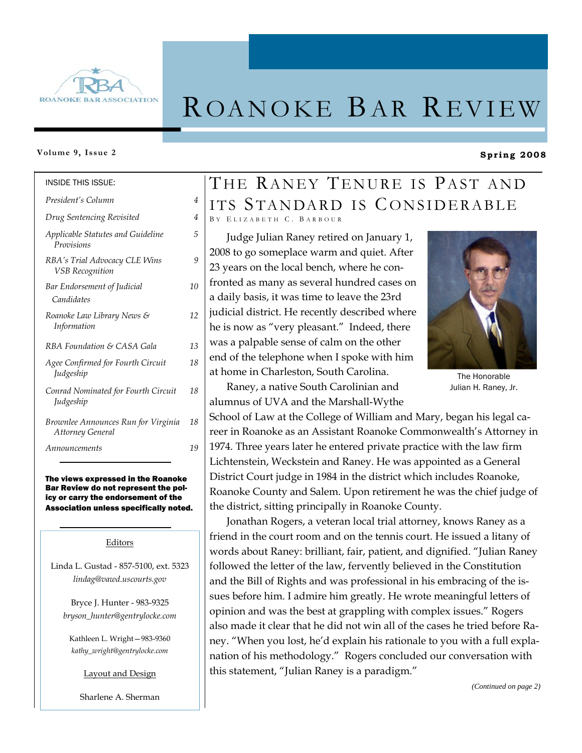

# ROANOKE BAR REVIEW

#### **Volume 9, Issue 2**

INSIDE THIS ISSUE:

#### *Applicable Statutes and Guideline Provisions 5 RBA's Trial Advocacy CLE Wins VSB Recognition 9 Bar Endorsement of Judicial Candidates 10 Roanoke Law Library News & Information 12 RBA Foundation & CASA Gala 13 Drug Sentencing Revisited 4 President's Column 4 Agee Confirmed for Fourth Circuit Judgeship 18 Conrad Nominated for Fourth Circuit Judgeship 18 Brownlee Announces Run for Virginia Attorney General 18 Announcements 19*

#### The views expressed in the Roanoke Bar Review do not represent the policy or carry the endorsement of the Association unless specifically noted.

#### Editors

Linda L. Gustad - 857-5100, ext. 5323 *lindag@vawd.uscourts.gov* 

Bryce J. Hunter - 983-9325 *bryson\_hunter@gentrylocke.com* 

Kathleen L. Wright—983-9360 *kathy\_wright@gentrylocke.com* 

Layout and Design

Sharlene A. Sherman

# THE RANEY TENURE IS PAST AND ITS STANDARD IS CONSIDERABLE B Y E LIZABETH C. B ARBOUR

Judge Julian Raney retired on January 1, 2008 to go someplace warm and quiet. After 23 years on the local bench, where he confronted as many as several hundred cases on a daily basis, it was time to leave the 23rd judicial district. He recently described where he is now as "very pleasant." Indeed, there was a palpable sense of calm on the other end of the telephone when I spoke with him at home in Charleston, South Carolina.

Raney, a native South Carolinian and alumnus of UVA and the Marshall-Wythe

School of Law at the College of William and Mary, began his legal career in Roanoke as an Assistant Roanoke Commonwealth's Attorney in 1974. Three years later he entered private practice with the law firm Lichtenstein, Weckstein and Raney. He was appointed as a General District Court judge in 1984 in the district which includes Roanoke, Roanoke County and Salem. Upon retirement he was the chief judge of the district, sitting principally in Roanoke County.

Jonathan Rogers, a veteran local trial attorney, knows Raney as a friend in the court room and on the tennis court. He issued a litany of words about Raney: brilliant, fair, patient, and dignified. "Julian Raney followed the letter of the law, fervently believed in the Constitution and the Bill of Rights and was professional in his embracing of the issues before him. I admire him greatly. He wrote meaningful letters of opinion and was the best at grappling with complex issues." Rogers also made it clear that he did not win all of the cases he tried before Raney. "When you lost, he'd explain his rationale to you with a full explanation of his methodology." Rogers concluded our conversation with this statement, "Julian Raney is a paradigm."

The Honorable Julian H. Raney, Jr.

**Spring 2008** 

*(Continued on page 2)* 

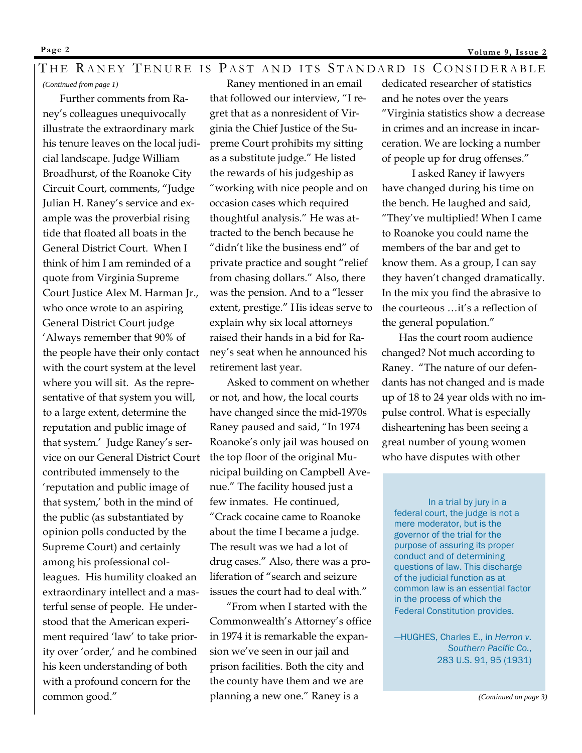# THE RANEY TENURE IS PAST AND ITS STANDARD IS CONSIDERABLE

*(Continued from page 1)* 

Further comments from Raney's colleagues unequivocally illustrate the extraordinary mark his tenure leaves on the local judicial landscape. Judge William Broadhurst, of the Roanoke City Circuit Court, comments, "Judge Julian H. Raney's service and example was the proverbial rising tide that floated all boats in the General District Court. When I think of him I am reminded of a quote from Virginia Supreme Court Justice Alex M. Harman Jr., who once wrote to an aspiring General District Court judge 'Always remember that 90% of the people have their only contact with the court system at the level where you will sit. As the representative of that system you will, to a large extent, determine the reputation and public image of that system.' Judge Raney's service on our General District Court contributed immensely to the 'reputation and public image of that system,' both in the mind of the public (as substantiated by opinion polls conducted by the Supreme Court) and certainly among his professional colleagues. His humility cloaked an extraordinary intellect and a masterful sense of people. He understood that the American experiment required 'law' to take priority over 'order,' and he combined his keen understanding of both with a profound concern for the common good."

Raney mentioned in an email that followed our interview, "I regret that as a nonresident of Virginia the Chief Justice of the Supreme Court prohibits my sitting as a substitute judge." He listed the rewards of his judgeship as "working with nice people and on occasion cases which required thoughtful analysis." He was attracted to the bench because he "didn't like the business end" of private practice and sought "relief from chasing dollars." Also, there was the pension. And to a "lesser extent, prestige." His ideas serve to explain why six local attorneys raised their hands in a bid for Raney's seat when he announced his retirement last year.

Asked to comment on whether or not, and how, the local courts have changed since the mid-1970s Raney paused and said, "In 1974 Roanoke's only jail was housed on the top floor of the original Municipal building on Campbell Avenue." The facility housed just a few inmates. He continued, "Crack cocaine came to Roanoke about the time I became a judge. The result was we had a lot of drug cases." Also, there was a proliferation of "search and seizure issues the court had to deal with."

"From when I started with the Commonwealth's Attorney's office in 1974 it is remarkable the expansion we've seen in our jail and prison facilities. Both the city and the county have them and we are planning a new one." Raney is a

dedicated researcher of statistics and he notes over the years "Virginia statistics show a decrease in crimes and an increase in incarceration. We are locking a number of people up for drug offenses."

 I asked Raney if lawyers have changed during his time on the bench. He laughed and said, "They've multiplied! When I came to Roanoke you could name the members of the bar and get to know them. As a group, I can say they haven't changed dramatically. In the mix you find the abrasive to the courteous …it's a reflection of the general population."

Has the court room audience changed? Not much according to Raney. "The nature of our defendants has not changed and is made up of 18 to 24 year olds with no impulse control. What is especially disheartening has been seeing a great number of young women who have disputes with other

 In a trial by jury in a federal court, the judge is not a mere moderator, but is the governor of the trial for the purpose of assuring its proper conduct and of determining questions of law. This discharge of the judicial function as at common law is an essential factor in the process of which the Federal Constitution provides.

—HUGHES, Charles E., in *Herron v. Southern Pacific Co.*, 283 U.S. 91, 95 (1931)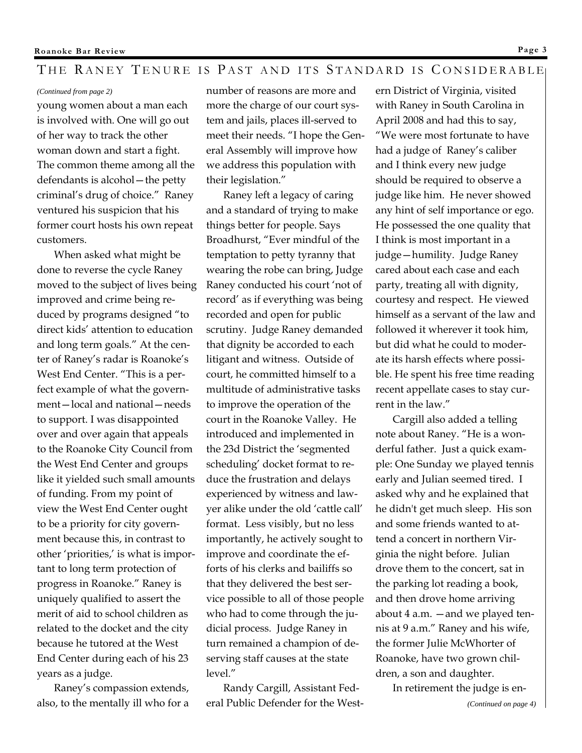# THE RANEY TENURE IS PAST AND ITS STANDARD IS CONSIDERABLE

#### *(Continued from page 2)*

young women about a man each is involved with. One will go out of her way to track the other woman down and start a fight. The common theme among all the defendants is alcohol—the petty criminal's drug of choice." Raney ventured his suspicion that his former court hosts his own repeat customers.

When asked what might be done to reverse the cycle Raney moved to the subject of lives being improved and crime being reduced by programs designed "to direct kids' attention to education and long term goals." At the center of Raney's radar is Roanoke's West End Center. "This is a perfect example of what the government—local and national—needs to support. I was disappointed over and over again that appeals to the Roanoke City Council from the West End Center and groups like it yielded such small amounts of funding. From my point of view the West End Center ought to be a priority for city government because this, in contrast to other 'priorities,' is what is important to long term protection of progress in Roanoke." Raney is uniquely qualified to assert the merit of aid to school children as related to the docket and the city because he tutored at the West End Center during each of his 23 years as a judge.

Raney's compassion extends, also, to the mentally ill who for a number of reasons are more and more the charge of our court system and jails, places ill-served to meet their needs. "I hope the General Assembly will improve how we address this population with their legislation."

Raney left a legacy of caring and a standard of trying to make things better for people. Says Broadhurst, "Ever mindful of the temptation to petty tyranny that wearing the robe can bring, Judge Raney conducted his court 'not of record' as if everything was being recorded and open for public scrutiny. Judge Raney demanded that dignity be accorded to each litigant and witness. Outside of court, he committed himself to a multitude of administrative tasks to improve the operation of the court in the Roanoke Valley. He introduced and implemented in the 23d District the 'segmented scheduling' docket format to reduce the frustration and delays experienced by witness and lawyer alike under the old 'cattle call' format. Less visibly, but no less importantly, he actively sought to improve and coordinate the efforts of his clerks and bailiffs so that they delivered the best service possible to all of those people who had to come through the judicial process. Judge Raney in turn remained a champion of deserving staff causes at the state level."

Randy Cargill, Assistant Federal Public Defender for the West-

ern District of Virginia, visited with Raney in South Carolina in April 2008 and had this to say, "We were most fortunate to have had a judge of Raney's caliber and I think every new judge should be required to observe a judge like him. He never showed any hint of self importance or ego. He possessed the one quality that I think is most important in a judge—humility. Judge Raney cared about each case and each party, treating all with dignity, courtesy and respect. He viewed himself as a servant of the law and followed it wherever it took him, but did what he could to moderate its harsh effects where possible. He spent his free time reading recent appellate cases to stay current in the law."

Cargill also added a telling note about Raney. "He is a wonderful father. Just a quick example: One Sunday we played tennis early and Julian seemed tired. I asked why and he explained that he didn't get much sleep. His son and some friends wanted to attend a concert in northern Virginia the night before. Julian drove them to the concert, sat in the parking lot reading a book, and then drove home arriving about 4 a.m. —and we played tennis at 9 a.m." Raney and his wife, the former Julie McWhorter of Roanoke, have two grown children, a son and daughter.

In retirement the judge is en-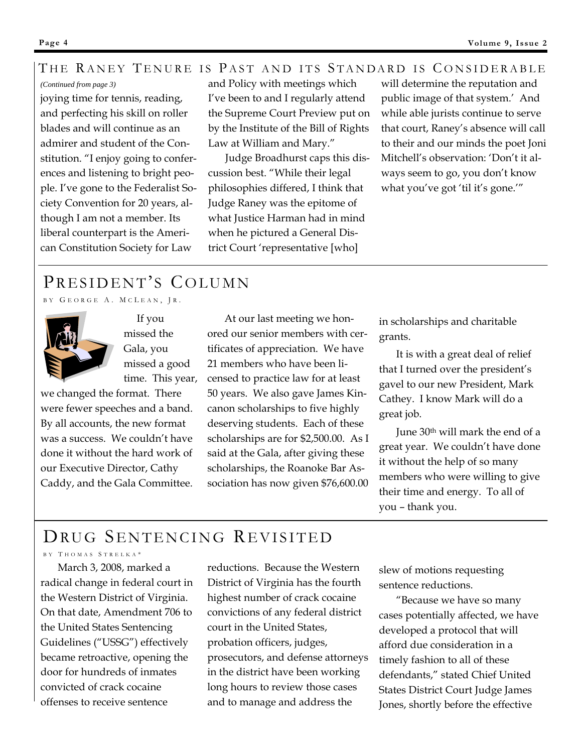# THE RANEY TENURE IS PAST AND ITS STANDARD IS CONSIDERABLE

## *(Continued from page 3)*

joying time for tennis, reading, and perfecting his skill on roller blades and will continue as an admirer and student of the Constitution. "I enjoy going to conferences and listening to bright people. I've gone to the Federalist Society Convention for 20 years, although I am not a member. Its liberal counterpart is the American Constitution Society for Law

and Policy with meetings which I've been to and I regularly attend the Supreme Court Preview put on by the Institute of the Bill of Rights Law at William and Mary."

Judge Broadhurst caps this discussion best. "While their legal philosophies differed, I think that Judge Raney was the epitome of what Justice Harman had in mind when he pictured a General District Court 'representative [who]

will determine the reputation and public image of that system.' And while able jurists continue to serve that court, Raney's absence will call to their and our minds the poet Joni Mitchell's observation: 'Don't it always seem to go, you don't know what you've got 'til it's gone.'"

# PRESIDENT'S COLUMN

BY GEORGE A. MCLEAN, JR.



 If you missed the Gala, you missed a good time. This year,

we changed the format. There were fewer speeches and a band. By all accounts, the new format was a success. We couldn't have done it without the hard work of our Executive Director, Cathy Caddy, and the Gala Committee.

At our last meeting we honored our senior members with certificates of appreciation. We have 21 members who have been licensed to practice law for at least 50 years. We also gave James Kincanon scholarships to five highly deserving students. Each of these scholarships are for \$2,500.00. As I said at the Gala, after giving these scholarships, the Roanoke Bar Association has now given \$76,600.00

in scholarships and charitable grants.

It is with a great deal of relief that I turned over the president's gavel to our new President, Mark Cathey. I know Mark will do a great job.

June 30th will mark the end of a great year. We couldn't have done it without the help of so many members who were willing to give their time and energy. To all of you – thank you.

# DRUG SENTENCING REVISITED

# BY THOMAS STRELKA\*

March 3, 2008, marked a radical change in federal court in the Western District of Virginia. On that date, Amendment 706 to the United States Sentencing Guidelines ("USSG") effectively became retroactive, opening the door for hundreds of inmates convicted of crack cocaine offenses to receive sentence

reductions. Because the Western District of Virginia has the fourth highest number of crack cocaine convictions of any federal district court in the United States, probation officers, judges, prosecutors, and defense attorneys in the district have been working long hours to review those cases and to manage and address the

slew of motions requesting sentence reductions.

"Because we have so many cases potentially affected, we have developed a protocol that will afford due consideration in a timely fashion to all of these defendants," stated Chief United States District Court Judge James Jones, shortly before the effective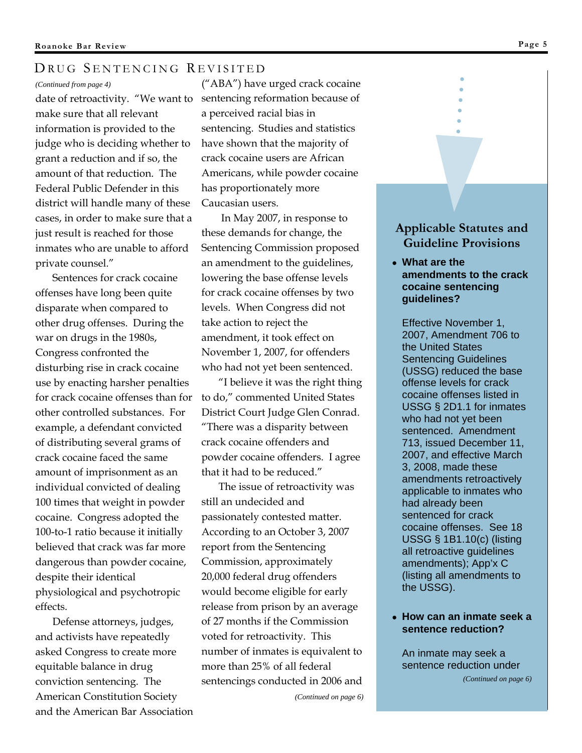#### *(Continued from page 4)*

date of retroactivity. "We want to make sure that all relevant information is provided to the judge who is deciding whether to grant a reduction and if so, the amount of that reduction. The Federal Public Defender in this district will handle many of these cases, in order to make sure that a just result is reached for those inmates who are unable to afford private counsel."

Sentences for crack cocaine offenses have long been quite disparate when compared to other drug offenses. During the war on drugs in the 1980s, Congress confronted the disturbing rise in crack cocaine use by enacting harsher penalties for crack cocaine offenses than for other controlled substances. For example, a defendant convicted of distributing several grams of crack cocaine faced the same amount of imprisonment as an individual convicted of dealing 100 times that weight in powder cocaine. Congress adopted the 100-to-1 ratio because it initially believed that crack was far more dangerous than powder cocaine, despite their identical physiological and psychotropic effects.

Defense attorneys, judges, and activists have repeatedly asked Congress to create more equitable balance in drug conviction sentencing. The American Constitution Society and the American Bar Association

("ABA") have urged crack cocaine sentencing reformation because of a perceived racial bias in sentencing. Studies and statistics have shown that the majority of crack cocaine users are African Americans, while powder cocaine has proportionately more Caucasian users.

 In May 2007, in response to these demands for change, the Sentencing Commission proposed an amendment to the guidelines, lowering the base offense levels for crack cocaine offenses by two levels. When Congress did not take action to reject the amendment, it took effect on November 1, 2007, for offenders who had not yet been sentenced.

"I believe it was the right thing to do," commented United States District Court Judge Glen Conrad. "There was a disparity between crack cocaine offenders and powder cocaine offenders. I agree that it had to be reduced."

The issue of retroactivity was still an undecided and passionately contested matter. According to an October 3, 2007 report from the Sentencing Commission, approximately 20,000 federal drug offenders would become eligible for early release from prison by an average of 27 months if the Commission voted for retroactivity. This number of inmates is equivalent to more than 25% of all federal sentencings conducted in 2006 and

*(Continued on page 6)* 

# **Applicable Statutes and Guideline Provisions**

● **What are the amendments to the crack cocaine sentencing guidelines?**

Effective November 1, 2007, Amendment 706 to the United States Sentencing Guidelines (USSG) reduced the base offense levels for crack cocaine offenses listed in USSG § 2D1.1 for inmates who had not yet been sentenced. Amendment 713, issued December 11, 2007, and effective March 3, 2008, made these amendments retroactively applicable to inmates who had already been sentenced for crack cocaine offenses. See 18 USSG § 1B1.10(c) (listing all retroactive guidelines amendments); App'x C (listing all amendments to the USSG).

## ● **How can an inmate seek a sentence reduction?**

An inmate may seek a sentence reduction under

*(Continued on page 6)*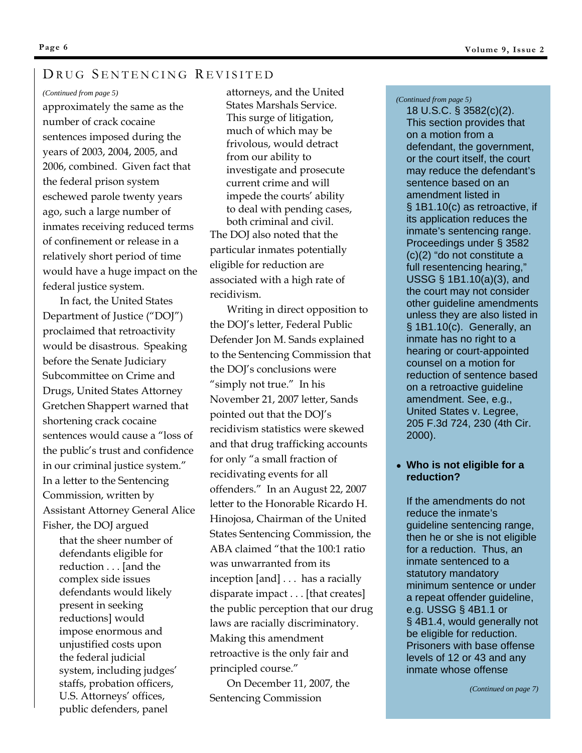#### *(Continued from page 5)*

approximately the same as the number of crack cocaine sentences imposed during the years of 2003, 2004, 2005, and 2006, combined. Given fact that the federal prison system eschewed parole twenty years ago, such a large number of inmates receiving reduced terms of confinement or release in a relatively short period of time would have a huge impact on the federal justice system.

In fact, the United States Department of Justice ("DOJ") proclaimed that retroactivity would be disastrous. Speaking before the Senate Judiciary Subcommittee on Crime and Drugs, United States Attorney Gretchen Shappert warned that shortening crack cocaine sentences would cause a "loss of the public's trust and confidence in our criminal justice system." In a letter to the Sentencing Commission, written by Assistant Attorney General Alice Fisher, the DOJ argued

that the sheer number of defendants eligible for reduction . . . [and the complex side issues defendants would likely present in seeking reductions] would impose enormous and unjustified costs upon the federal judicial system, including judges' staffs, probation officers, U.S. Attorneys' offices, public defenders, panel

attorneys, and the United States Marshals Service. This surge of litigation, much of which may be frivolous, would detract from our ability to investigate and prosecute current crime and will impede the courts' ability to deal with pending cases, both criminal and civil. The DOJ also noted that the particular inmates potentially eligible for reduction are associated with a high rate of recidivism.

Writing in direct opposition to the DOJ's letter, Federal Public Defender Jon M. Sands explained to the Sentencing Commission that the DOJ's conclusions were "simply not true." In his November 21, 2007 letter, Sands pointed out that the DOJ's recidivism statistics were skewed and that drug trafficking accounts for only "a small fraction of recidivating events for all offenders." In an August 22, 2007 letter to the Honorable Ricardo H. Hinojosa, Chairman of the United States Sentencing Commission, the ABA claimed "that the 100:1 ratio was unwarranted from its inception [and] . . . has a racially disparate impact . . . [that creates] the public perception that our drug laws are racially discriminatory. Making this amendment retroactive is the only fair and principled course."

On December 11, 2007, the Sentencing Commission

#### *(Continued from page 5)*

18 U.S.C. § 3582(c)(2). This section provides that on a motion from a defendant, the government, or the court itself, the court may reduce the defendant's sentence based on an amendment listed in § 1B1.10(c) as retroactive, if its application reduces the inmate's sentencing range. Proceedings under § 3582 (c)(2) "do not constitute a full resentencing hearing," USSG § 1B1.10(a)(3), and the court may not consider other guideline amendments unless they are also listed in § 1B1.10(c). Generally, an inmate has no right to a hearing or court-appointed counsel on a motion for reduction of sentence based on a retroactive guideline amendment. See, e.g., United States v. Legree, 205 F.3d 724, 230 (4th Cir. 2000).

## ● **Who is not eligible for a reduction?**

If the amendments do not reduce the inmate's guideline sentencing range, then he or she is not eligible for a reduction. Thus, an inmate sentenced to a statutory mandatory minimum sentence or under a repeat offender guideline, e.g. USSG § 4B1.1 or § 4B1.4, would generally not be eligible for reduction. Prisoners with base offense levels of 12 or 43 and any inmate whose offense

**Page 6**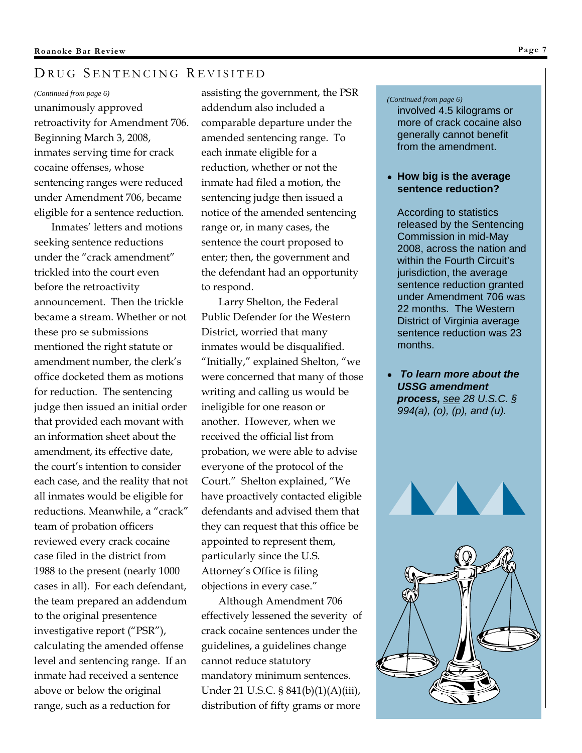#### *(Continued from page 6)*

unanimously approved retroactivity for Amendment 706. Beginning March 3, 2008, inmates serving time for crack cocaine offenses, whose sentencing ranges were reduced under Amendment 706, became eligible for a sentence reduction.

Inmates' letters and motions seeking sentence reductions under the "crack amendment" trickled into the court even before the retroactivity announcement. Then the trickle became a stream. Whether or not these pro se submissions mentioned the right statute or amendment number, the clerk's office docketed them as motions for reduction. The sentencing judge then issued an initial order that provided each movant with an information sheet about the amendment, its effective date, the court's intention to consider each case, and the reality that not all inmates would be eligible for reductions. Meanwhile, a "crack" team of probation officers reviewed every crack cocaine case filed in the district from 1988 to the present (nearly 1000 cases in all). For each defendant, the team prepared an addendum to the original presentence investigative report ("PSR"), calculating the amended offense level and sentencing range. If an inmate had received a sentence above or below the original range, such as a reduction for

assisting the government, the PSR addendum also included a comparable departure under the amended sentencing range. To each inmate eligible for a reduction, whether or not the inmate had filed a motion, the sentencing judge then issued a notice of the amended sentencing range or, in many cases, the sentence the court proposed to enter; then, the government and the defendant had an opportunity to respond.

Larry Shelton, the Federal Public Defender for the Western District, worried that many inmates would be disqualified. "Initially," explained Shelton, "we were concerned that many of those writing and calling us would be ineligible for one reason or another. However, when we received the official list from probation, we were able to advise everyone of the protocol of the Court." Shelton explained, "We have proactively contacted eligible defendants and advised them that they can request that this office be appointed to represent them, particularly since the U.S. Attorney's Office is filing objections in every case."

Although Amendment 706 effectively lessened the severity of crack cocaine sentences under the guidelines, a guidelines change cannot reduce statutory mandatory minimum sentences. Under 21 U.S.C. § 841(b)(1)(A)(iii), distribution of fifty grams or more

#### *(Continued from page 6)*

involved 4.5 kilograms or more of crack cocaine also generally cannot benefit from the amendment.

## ● **How big is the average sentence reduction?**

According to statistics released by the Sentencing Commission in mid-May 2008, across the nation and within the Fourth Circuit's jurisdiction, the average sentence reduction granted under Amendment 706 was 22 months. The Western District of Virginia average sentence reduction was 23 months.

● *To learn more about the USSG amendment process, see 28 U.S.C. § 994(a), (o), (p), and (u).* 



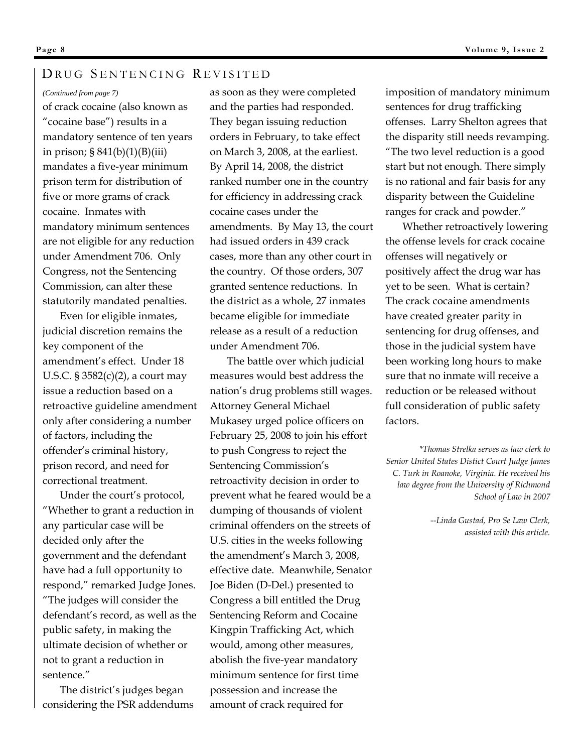#### *(Continued from page 7)*

of crack cocaine (also known as "cocaine base") results in a mandatory sentence of ten years in prison; § 841(b)(1)(B)(iii) mandates a five-year minimum prison term for distribution of five or more grams of crack cocaine. Inmates with mandatory minimum sentences are not eligible for any reduction under Amendment 706. Only Congress, not the Sentencing Commission, can alter these statutorily mandated penalties.

Even for eligible inmates, judicial discretion remains the key component of the amendment's effect. Under 18 U.S.C. § 3582(c)(2), a court may issue a reduction based on a retroactive guideline amendment only after considering a number of factors, including the offender's criminal history, prison record, and need for correctional treatment.

Under the court's protocol, "Whether to grant a reduction in any particular case will be decided only after the government and the defendant have had a full opportunity to respond," remarked Judge Jones. "The judges will consider the defendant's record, as well as the public safety, in making the ultimate decision of whether or not to grant a reduction in sentence."

The district's judges began considering the PSR addendums as soon as they were completed and the parties had responded. They began issuing reduction orders in February, to take effect on March 3, 2008, at the earliest. By April 14, 2008, the district ranked number one in the country for efficiency in addressing crack cocaine cases under the amendments. By May 13, the court had issued orders in 439 crack cases, more than any other court in the country. Of those orders, 307 granted sentence reductions. In the district as a whole, 27 inmates became eligible for immediate release as a result of a reduction under Amendment 706.

The battle over which judicial measures would best address the nation's drug problems still wages. Attorney General Michael Mukasey urged police officers on February 25, 2008 to join his effort to push Congress to reject the Sentencing Commission's retroactivity decision in order to prevent what he feared would be a dumping of thousands of violent criminal offenders on the streets of U.S. cities in the weeks following the amendment's March 3, 2008, effective date. Meanwhile, Senator Joe Biden (D-Del.) presented to Congress a bill entitled the Drug Sentencing Reform and Cocaine Kingpin Trafficking Act, which would, among other measures, abolish the five-year mandatory minimum sentence for first time possession and increase the amount of crack required for

imposition of mandatory minimum sentences for drug trafficking offenses. Larry Shelton agrees that the disparity still needs revamping. "The two level reduction is a good start but not enough. There simply is no rational and fair basis for any disparity between the Guideline ranges for crack and powder."

Whether retroactively lowering the offense levels for crack cocaine offenses will negatively or positively affect the drug war has yet to be seen. What is certain? The crack cocaine amendments have created greater parity in sentencing for drug offenses, and those in the judicial system have been working long hours to make sure that no inmate will receive a reduction or be released without full consideration of public safety factors.

*\*Thomas Strelka serves as law clerk to Senior United States Distict Court Judge James C. Turk in Roanoke, Virginia. He received his law degree from the University of Richmond School of Law in 2007* 

> *--Linda Gustad, Pro Se Law Clerk, assisted with this article.*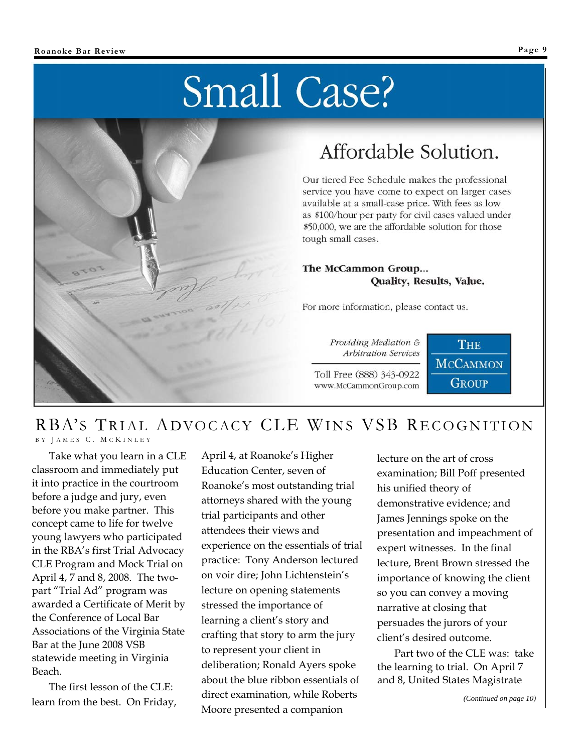# Small Case?



# Affordable Solution.

Our tiered Fee Schedule makes the professional service you have come to expect on larger cases available at a small-case price. With fees as low as \$100/hour per party for civil cases valued under \$50,000, we are the affordable solution for those tough small cases.

# The McCammon Group... Quality, Results, Value.

For more information, please contact us.

Providing Mediation & Arbitration Services

Toll Free (888) 343-0922 www.McCammonGroup.com



# RBA'S TRIAL ADVOCACY CLE WINS VSB RECOGNITION B Y J AMES C. M C K INLEY

Take what you learn in a CLE classroom and immediately put it into practice in the courtroom before a judge and jury, even before you make partner. This concept came to life for twelve young lawyers who participated in the RBA's first Trial Advocacy CLE Program and Mock Trial on April 4, 7 and 8, 2008. The twopart "Trial Ad" program was awarded a Certificate of Merit by the Conference of Local Bar Associations of the Virginia State Bar at the June 2008 VSB statewide meeting in Virginia Beach.

The first lesson of the CLE: learn from the best. On Friday,

April 4, at Roanoke's Higher Education Center, seven of Roanoke's most outstanding trial attorneys shared with the young trial participants and other attendees their views and experience on the essentials of trial practice: Tony Anderson lectured on voir dire; John Lichtenstein's lecture on opening statements stressed the importance of learning a client's story and crafting that story to arm the jury to represent your client in deliberation; Ronald Ayers spoke about the blue ribbon essentials of direct examination, while Roberts Moore presented a companion

lecture on the art of cross examination; Bill Poff presented his unified theory of demonstrative evidence; and James Jennings spoke on the presentation and impeachment of expert witnesses. In the final lecture, Brent Brown stressed the importance of knowing the client so you can convey a moving narrative at closing that persuades the jurors of your client's desired outcome.

Part two of the CLE was: take the learning to trial. On April 7 and 8, United States Magistrate

*(Continued on page 10)*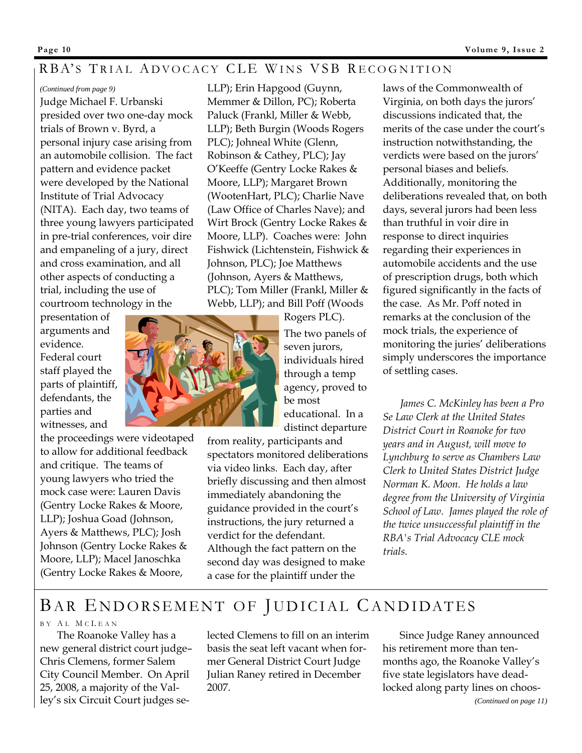# RBA'S TRIAL ADVOCACY CLE WINS VSB RECOGNITION

#### *(Continued from page 9)*

Judge Michael F. Urbanski presided over two one-day mock trials of Brown v. Byrd, a personal injury case arising from an automobile collision. The fact pattern and evidence packet were developed by the National Institute of Trial Advocacy (NITA). Each day, two teams of three young lawyers participated in pre-trial conferences, voir dire and empaneling of a jury, direct and cross examination, and all other aspects of conducting a trial, including the use of courtroom technology in the

presentation of arguments and evidence. Federal court staff played the

parts of plaintiff, defendants, the parties and witnesses, and

the proceedings were videotaped to allow for additional feedback and critique. The teams of young lawyers who tried the mock case were: Lauren Davis (Gentry Locke Rakes & Moore, LLP); Joshua Goad (Johnson, Ayers & Matthews, PLC); Josh Johnson (Gentry Locke Rakes & Moore, LLP); Macel Janoschka (Gentry Locke Rakes & Moore,

LLP); Erin Hapgood (Guynn, Memmer & Dillon, PC); Roberta Paluck (Frankl, Miller & Webb, LLP); Beth Burgin (Woods Rogers PLC); Johneal White (Glenn, Robinson & Cathey, PLC); Jay O'Keeffe (Gentry Locke Rakes & Moore, LLP); Margaret Brown (WootenHart, PLC); Charlie Nave (Law Office of Charles Nave); and Wirt Brock (Gentry Locke Rakes & Moore, LLP). Coaches were: John Fishwick (Lichtenstein, Fishwick & Johnson, PLC); Joe Matthews (Johnson, Ayers & Matthews, PLC); Tom Miller (Frankl, Miller & Webb, LLP); and Bill Poff (Woods



Rogers PLC). The two panels of seven jurors, individuals hired through a temp agency, proved to be most educational. In a distinct departure

from reality, participants and spectators monitored deliberations via video links. Each day, after briefly discussing and then almost immediately abandoning the guidance provided in the court's instructions, the jury returned a verdict for the defendant. Although the fact pattern on the second day was designed to make a case for the plaintiff under the

laws of the Commonwealth of Virginia, on both days the jurors' discussions indicated that, the merits of the case under the court's instruction notwithstanding, the verdicts were based on the jurors' personal biases and beliefs. Additionally, monitoring the deliberations revealed that, on both days, several jurors had been less than truthful in voir dire in response to direct inquiries regarding their experiences in automobile accidents and the use of prescription drugs, both which figured significantly in the facts of the case. As Mr. Poff noted in remarks at the conclusion of the mock trials, the experience of monitoring the juries' deliberations simply underscores the importance of settling cases.

*James C. McKinley has been a Pro Se Law Clerk at the United States District Court in Roanoke for two years and in August, will move to Lynchburg to serve as Chambers Law Clerk to United States District Judge Norman K. Moon. He holds a law degree from the University of Virginia School of Law. James played the role of the twice unsuccessful plaintiff in the RBA's Trial Advocacy CLE mock trials.* 

# BAR ENDORSEMENT OF JUDICIAL CANDIDATES

### B Y A L M C L EAN

The Roanoke Valley has a new general district court judge– Chris Clemens, former Salem City Council Member. On April 25, 2008, a majority of the Valley's six Circuit Court judges selected Clemens to fill on an interim basis the seat left vacant when former General District Court Judge Julian Raney retired in December 2007.

Since Judge Raney announced his retirement more than tenmonths ago, the Roanoke Valley's five state legislators have deadlocked along party lines on choos-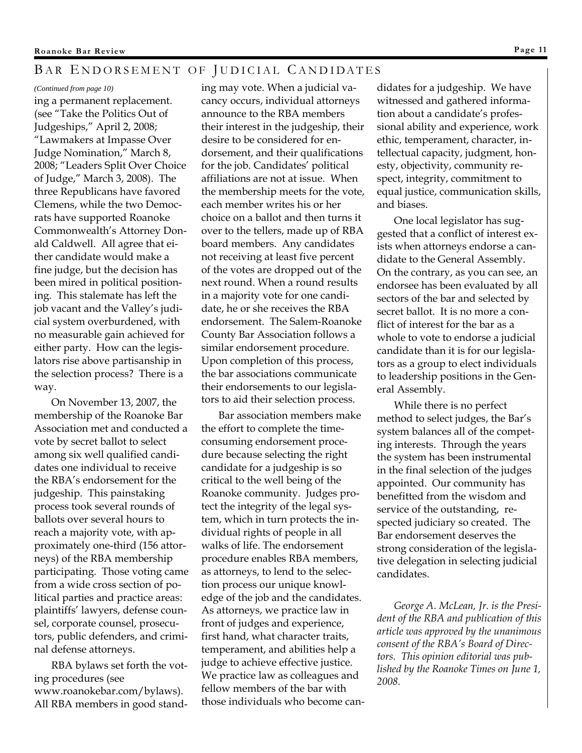# BAR ENDORSEMENT OF JUDICIAL CANDIDATES

#### *(Continued from page 10)*

ing a permanent replacement. (see "Take the Politics Out of Judgeships," April 2, 2008; "Lawmakers at Impasse Over Judge Nomination," March 8, 2008; "Leaders Split Over Choice of Judge," March 3, 2008). The three Republicans have favored Clemens, while the two Democrats have supported Roanoke Commonwealth's Attorney Donald Caldwell. All agree that either candidate would make a fine judge, but the decision has been mired in political positioning. This stalemate has left the job vacant and the Valley's judicial system overburdened, with no measurable gain achieved for either party. How can the legislators rise above partisanship in the selection process? There is a way.

On November 13, 2007, the membership of the Roanoke Bar Association met and conducted a vote by secret ballot to select among six well qualified candidates one individual to receive the RBA's endorsement for the judgeship. This painstaking process took several rounds of ballots over several hours to reach a majority vote, with approximately one-third (156 attorneys) of the RBA membership participating. Those voting came from a wide cross section of political parties and practice areas: plaintiffs' lawyers, defense counsel, corporate counsel, prosecutors, public defenders, and criminal defense attorneys.

RBA bylaws set forth the voting procedures (see www.roanokebar.com/bylaws). All RBA members in good standing may vote. When a judicial vacancy occurs, individual attorneys announce to the RBA members their interest in the judgeship, their desire to be considered for endorsement, and their qualifications for the job. Candidates' political affiliations are not at issue. When the membership meets for the vote, each member writes his or her choice on a ballot and then turns it over to the tellers, made up of RBA board members. Any candidates not receiving at least five percent of the votes are dropped out of the next round. When a round results in a majority vote for one candidate, he or she receives the RBA endorsement. The Salem-Roanoke County Bar Association follows a similar endorsement procedure. Upon completion of this process, the bar associations communicate their endorsements to our legislators to aid their selection process.

Bar association members make the effort to complete the timeconsuming endorsement procedure because selecting the right candidate for a judgeship is so critical to the well being of the Roanoke community. Judges protect the integrity of the legal system, which in turn protects the individual rights of people in all walks of life. The endorsement procedure enables RBA members, as attorneys, to lend to the selection process our unique knowledge of the job and the candidates. As attorneys, we practice law in front of judges and experience, first hand, what character traits, temperament, and abilities help a judge to achieve effective justice. We practice law as colleagues and fellow members of the bar with those individuals who become can-

didates for a judgeship. We have witnessed and gathered information about a candidate's professional ability and experience, work ethic, temperament, character, intellectual capacity, judgment, honesty, objectivity, community respect, integrity, commitment to equal justice, communication skills, and biases.

One local legislator has suggested that a conflict of interest exists when attorneys endorse a candidate to the General Assembly. On the contrary, as you can see, an endorsee has been evaluated by all sectors of the bar and selected by secret ballot. It is no more a conflict of interest for the bar as a whole to vote to endorse a judicial candidate than it is for our legislators as a group to elect individuals to leadership positions in the General Assembly.

While there is no perfect method to select judges, the Bar's system balances all of the competing interests. Through the years the system has been instrumental in the final selection of the judges appointed. Our community has benefitted from the wisdom and service of the outstanding, respected judiciary so created. The Bar endorsement deserves the strong consideration of the legislative delegation in selecting judicial candidates.

*George A. McLean, Jr. is the President of the RBA and publication of this article was approved by the unanimous consent of the RBA's Board of Directors. This opinion editorial was published by the Roanoke Times on June 1, 2008.*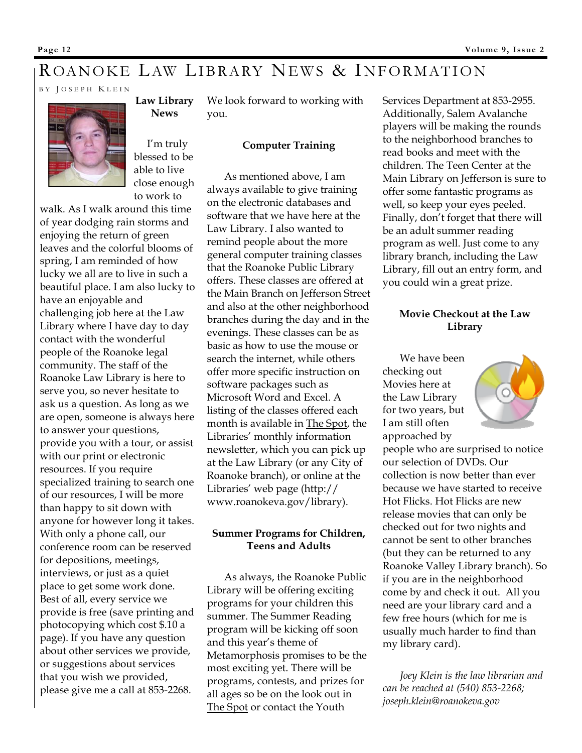# ROANOKE LAW LIBRARY NEWS & INFORMATION

B Y J OSEPH K LEIN



**Law Library News** 

We look forward to working with you.

## I'm truly blessed to be able to live close enough to work to

walk. As I walk around this time of year dodging rain storms and enjoying the return of green leaves and the colorful blooms of spring, I am reminded of how lucky we all are to live in such a beautiful place. I am also lucky to have an enjoyable and challenging job here at the Law Library where I have day to day contact with the wonderful people of the Roanoke legal community. The staff of the Roanoke Law Library is here to serve you, so never hesitate to ask us a question. As long as we are open, someone is always here to answer your questions, provide you with a tour, or assist with our print or electronic resources. If you require specialized training to search one of our resources, I will be more than happy to sit down with anyone for however long it takes. With only a phone call, our conference room can be reserved for depositions, meetings, interviews, or just as a quiet place to get some work done. Best of all, every service we provide is free (save printing and photocopying which cost \$.10 a page). If you have any question about other services we provide, or suggestions about services that you wish we provided, please give me a call at 853-2268.

**Computer Training** 

As mentioned above, I am always available to give training on the electronic databases and software that we have here at the Law Library. I also wanted to remind people about the more general computer training classes that the Roanoke Public Library offers. These classes are offered at the Main Branch on Jefferson Street and also at the other neighborhood branches during the day and in the evenings. These classes can be as basic as how to use the mouse or search the internet, while others offer more specific instruction on software packages such as Microsoft Word and Excel. A listing of the classes offered each month is available in The Spot, the Libraries' monthly information newsletter, which you can pick up at the Law Library (or any City of Roanoke branch), or online at the Libraries' web page (http:// www.roanokeva.gov/library).

# **Summer Programs for Children, Teens and Adults**

As always, the Roanoke Public Library will be offering exciting programs for your children this summer. The Summer Reading program will be kicking off soon and this year's theme of Metamorphosis promises to be the most exciting yet. There will be programs, contests, and prizes for all ages so be on the look out in The Spot or contact the Youth

Services Department at 853-2955. Additionally, Salem Avalanche players will be making the rounds to the neighborhood branches to read books and meet with the children. The Teen Center at the Main Library on Jefferson is sure to offer some fantastic programs as well, so keep your eyes peeled. Finally, don't forget that there will be an adult summer reading program as well. Just come to any library branch, including the Law Library, fill out an entry form, and you could win a great prize.

# **Movie Checkout at the Law Library**

We have been checking out Movies here at the Law Library for two years, but I am still often approached by

people who are surprised to notice our selection of DVDs. Our collection is now better than ever because we have started to receive Hot Flicks. Hot Flicks are new release movies that can only be checked out for two nights and cannot be sent to other branches (but they can be returned to any Roanoke Valley Library branch). So if you are in the neighborhood come by and check it out. All you need are your library card and a few free hours (which for me is usually much harder to find than my library card).

*Joey Klein is the law librarian and can be reached at (540) 853-2268; joseph.klein@roanokeva.gov*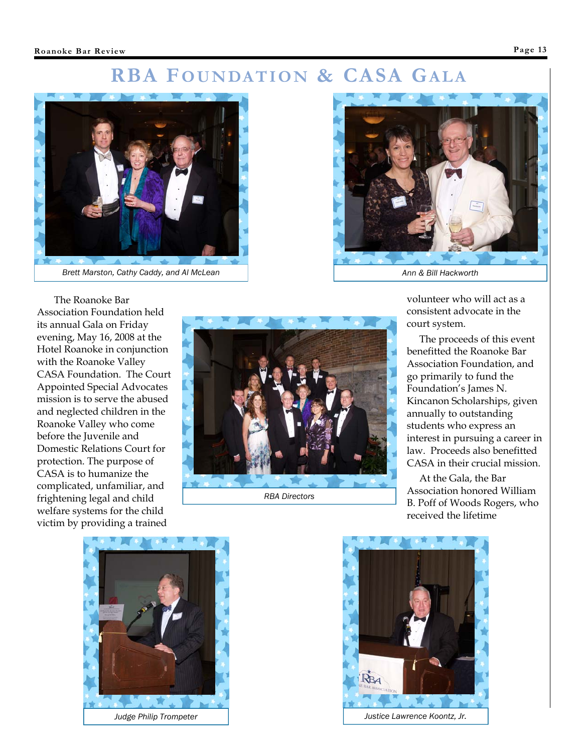# **RBA FOUNDATION & CASA GALA**



The Roanoke Bar Association Foundation held its annual Gala on Friday evening, May 16, 2008 at the Hotel Roanoke in conjunction with the Roanoke Valley CASA Foundation. The Court Appointed Special Advocates mission is to serve the abused and neglected children in the Roanoke Valley who come before the Juvenile and Domestic Relations Court for protection. The purpose of CASA is to humanize the complicated, unfamiliar, and frightening legal and child welfare systems for the child victim by providing a trained



*RBA Directors* 



volunteer who will act as a consistent advocate in the court system.

 The proceeds of this event benefitted the Roanoke Bar Association Foundation, and go primarily to fund the Foundation's James N. Kincanon Scholarships, given annually to outstanding students who express an interest in pursuing a career in law. Proceeds also benefitted CASA in their crucial mission.

 At the Gala, the Bar Association honored William B. Poff of Woods Rogers, who received the lifetime



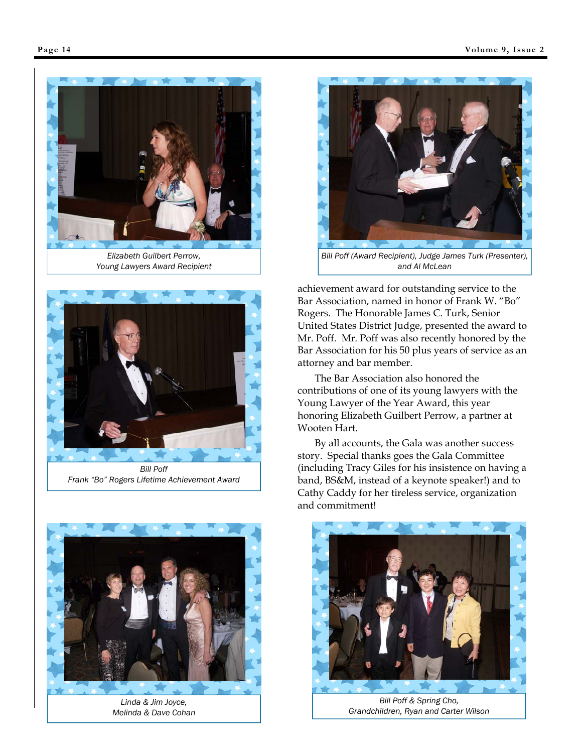

*Elizabeth Guilbert Perrow, Young Lawyers Award Recipient* 



*Frank "Bo" Rogers Lifetime Achievement Award* 



*Linda & Jim Joyce, Melinda & Dave Cohan* 



*and Al McLean* 

achievement award for outstanding service to the Bar Association, named in honor of Frank W. "Bo" Rogers. The Honorable James C. Turk, Senior United States District Judge, presented the award to Mr. Poff. Mr. Poff was also recently honored by the Bar Association for his 50 plus years of service as an attorney and bar member.

The Bar Association also honored the contributions of one of its young lawyers with the Young Lawyer of the Year Award, this year honoring Elizabeth Guilbert Perrow, a partner at Wooten Hart.

By all accounts, the Gala was another success story. Special thanks goes the Gala Committee (including Tracy Giles for his insistence on having a band, BS&M, instead of a keynote speaker!) and to Cathy Caddy for her tireless service, organization and commitment!



*Bill Poff & Spring Cho, Grandchildren, Ryan and Carter Wilson*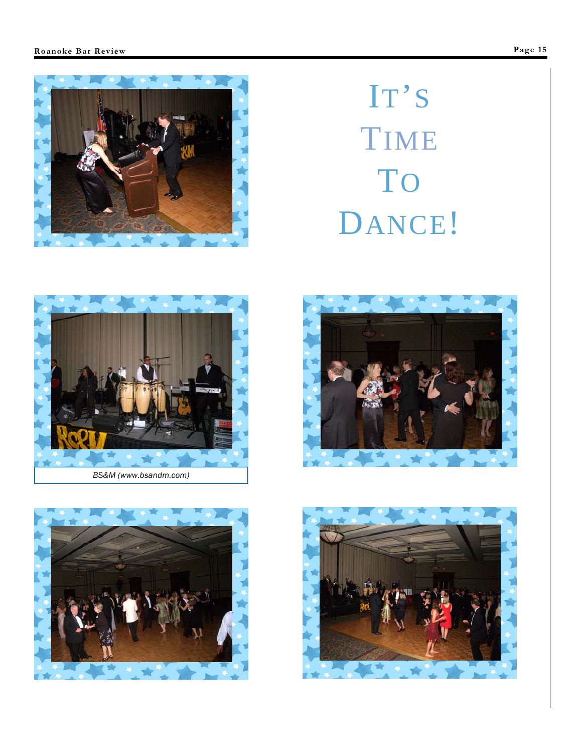

# IT'S TIME TO DANCE!







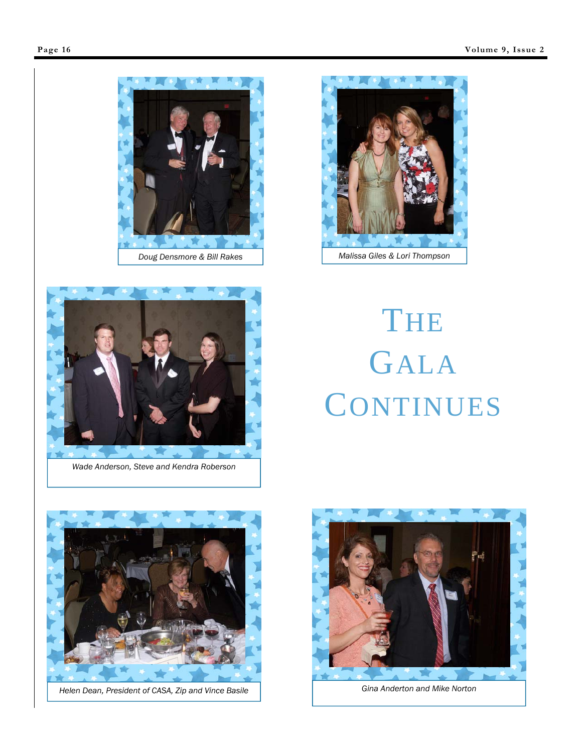



*Wade Anderson, Steve and Kendra Roberson* 



# THE GALA **CONTINUES**



Helen Dean, President of CASA, Zip and Vince Basile **Gina Anderton and Mike Norton Gina Anderton and Mike Norton** 

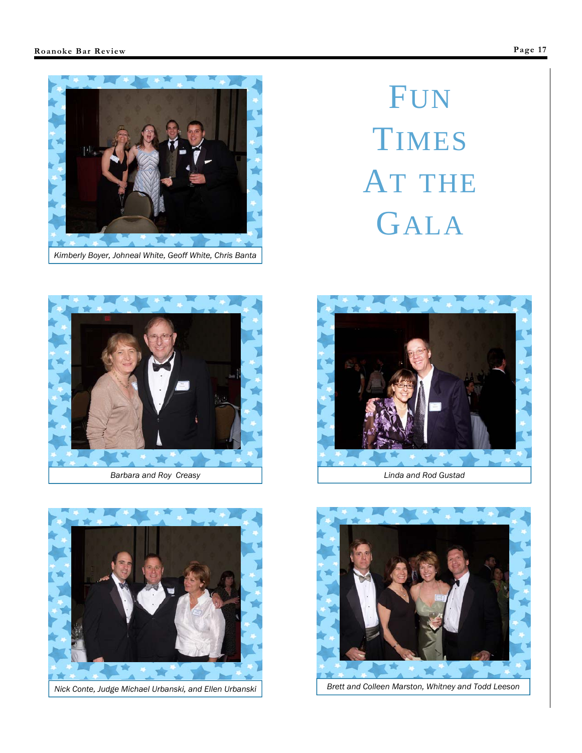

# FUN TIMES AT THE GALA



*Barbara and Roy Creasy* 



*Nick Conte, Judge Michael Urbanski, and Ellen Urbanski* Brett and Colleen Marston, Whitney and Todd Leeson



*Linda and Rod Gustad* 

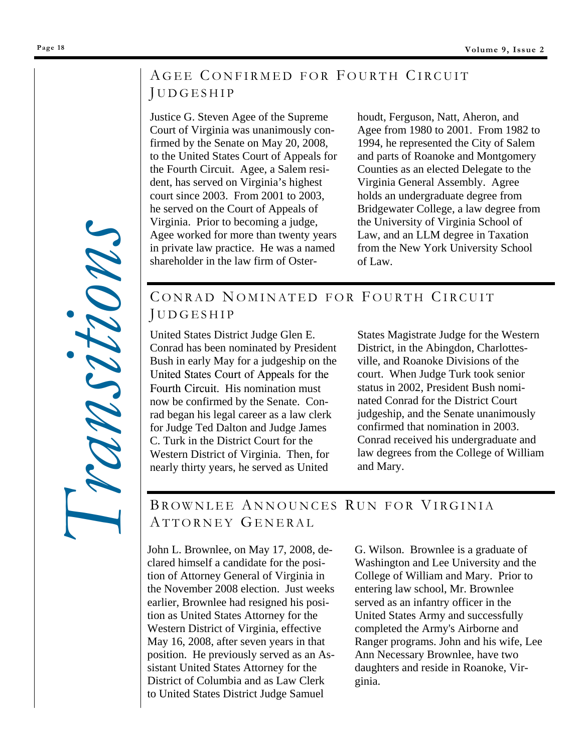# AGEE CONFIRMED FOR FOURTH CIRCUIT J UDGESHIP

Justice G. Steven Agee of the Supreme Court of Virginia was unanimously confirmed by the Senate on May 20, 2008, to the United States Court of Appeals for the Fourth Circuit. Agee, a Salem resident, has served on Virginia's highest court since 2003. From 2001 to 2003, he served on the Court of Appeals of Virginia. Prior to becoming a judge, Agee worked for more than twenty years in private law practice. He was a named shareholder in the law firm of Osterhoudt, Ferguson, Natt, Aheron, and Agee from 1980 to 2001. From 1982 to 1994, he represented the City of Salem and parts of Roanoke and Montgomery Counties as an elected Delegate to the Virginia General Assembly. Agree holds an undergraduate degree from Bridgewater College, a law degree from the University of Virginia School of Law, and an LLM degree in Taxation from the New York University School of Law.

# CONRAD NOMINATED FOR FOURTH CIRCUIT J UDGESHIP

United States District Judge Glen E. Conrad has been nominated by President Bush in early May for a judgeship on the United States Court of Appeals for the Fourth Circuit. His nomination must now be confirmed by the Senate. Conrad began his legal career as a law clerk for Judge Ted Dalton and Judge James C. Turk in the District Court for the Western District of Virginia. Then, for nearly thirty years, he served as United

States Magistrate Judge for the Western District, in the Abingdon, Charlottesville, and Roanoke Divisions of the court. When Judge Turk took senior status in 2002, President Bush nominated Conrad for the District Court judgeship, and the Senate unanimously confirmed that nomination in 2003. Conrad received his undergraduate and law degrees from the College of William and Mary.

# BROWNLEE ANNOUNCES RUN FOR VIRGINIA ATTORNEY GENERAL

John L. Brownlee, on May 17, 2008, declared himself a candidate for the position of Attorney General of Virginia in the November 2008 election. Just weeks earlier, Brownlee had resigned his position as United States Attorney for the Western District of Virginia, effective May 16, 2008, after seven years in that position. He previously served as an Assistant United States Attorney for the District of Columbia and as Law Clerk to United States District Judge Samuel

G. Wilson. Brownlee is a graduate of Washington and Lee University and the College of William and Mary. Prior to entering law school, Mr. Brownlee served as an infantry officer in the United States Army and successfully completed the Army's Airborne and Ranger programs. John and his wife, Lee Ann Necessary Brownlee, have two daughters and reside in Roanoke, Virginia.